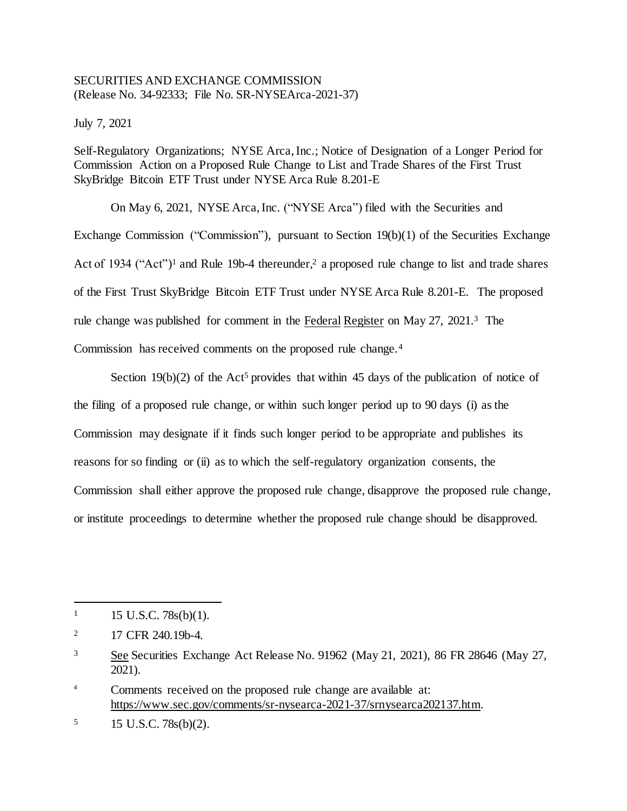## SECURITIES AND EXCHANGE COMMISSION (Release No. 34-92333; File No. SR-NYSEArca-2021-37)

July 7, 2021

Self-Regulatory Organizations; NYSE Arca, Inc.; Notice of Designation of a Longer Period for Commission Action on a Proposed Rule Change to List and Trade Shares of the First Trust SkyBridge Bitcoin ETF Trust under NYSE Arca Rule 8.201-E

On May 6, 2021, NYSE Arca, Inc. ("NYSE Arca") filed with the Securities and Exchange Commission ("Commission"), pursuant to Section 19(b)(1) of the Securities Exchange Act of 1934 ("Act")<sup>1</sup> and Rule 19b-4 thereunder,<sup>2</sup> a proposed rule change to list and trade shares of the First Trust SkyBridge Bitcoin ETF Trust under NYSE Arca Rule 8.201-E. The proposed rule change was published for comment in the Federal Register on May 27, 2021.<sup>3</sup> The Commission has received comments on the proposed rule change.<sup>4</sup>

Section 19(b)(2) of the Act<sup>5</sup> provides that within 45 days of the publication of notice of the filing of a proposed rule change, or within such longer period up to 90 days (i) as the Commission may designate if it finds such longer period to be appropriate and publishes its reasons for so finding or (ii) as to which the self-regulatory organization consents, the Commission shall either approve the proposed rule change, disapprove the proposed rule change, or institute proceedings to determine whether the proposed rule change should be disapproved.

l

 $1 \quad 15 \text{ U.S.C. } 78 \text{s(b)}(1).$ 

<sup>&</sup>lt;sup>2</sup> 17 CFR 240.19b-4.

<sup>3</sup> See Securities Exchange Act Release No. 91962 (May 21, 2021), 86 FR 28646 (May 27, 2021).

<sup>4</sup> Comments received on the proposed rule change are available at: https://www.sec.gov/comments/sr-nysearca-2021-37/srnysearca202137.htm.

 $15 \text{ U.S.C. } 78 \text{s(b)}(2)$ .